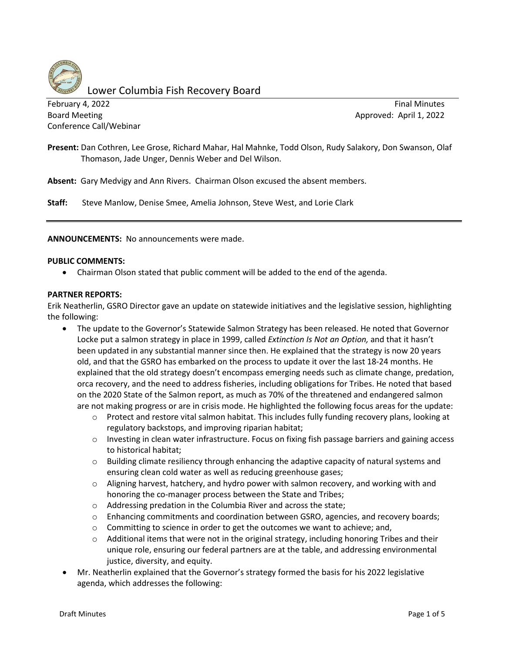

Lower Columbia Fish Recovery Board

February 4, 2022 **Final Minutes Final Minutes Final Minutes** Board Meeting **Board Meeting** Approved: April 1, 2022 Conference Call/Webinar

**Present:** Dan Cothren, Lee Grose, Richard Mahar, Hal Mahnke, Todd Olson, Rudy Salakory, Don Swanson, Olaf Thomason, Jade Unger, Dennis Weber and Del Wilson.

**Absent:** Gary Medvigy and Ann Rivers. Chairman Olson excused the absent members.

**Staff:** Steve Manlow, Denise Smee, Amelia Johnson, Steve West, and Lorie Clark

**ANNOUNCEMENTS:** No announcements were made.

#### **PUBLIC COMMENTS:**

• Chairman Olson stated that public comment will be added to the end of the agenda.

#### **PARTNER REPORTS:**

Erik Neatherlin, GSRO Director gave an update on statewide initiatives and the legislative session, highlighting the following:

- The update to the Governor's Statewide Salmon Strategy has been released. He noted that Governor Locke put a salmon strategy in place in 1999, called *Extinction Is Not an Option,* and that it hasn't been updated in any substantial manner since then. He explained that the strategy is now 20 years old, and that the GSRO has embarked on the process to update it over the last 18-24 months. He explained that the old strategy doesn't encompass emerging needs such as climate change, predation, orca recovery, and the need to address fisheries, including obligations for Tribes. He noted that based on the 2020 State of the Salmon report, as much as 70% of the threatened and endangered salmon are not making progress or are in crisis mode. He highlighted the following focus areas for the update:
	- o Protect and restore vital salmon habitat. This includes fully funding recovery plans, looking at regulatory backstops, and improving riparian habitat;
	- o Investing in clean water infrastructure. Focus on fixing fish passage barriers and gaining access to historical habitat;
	- o Building climate resiliency through enhancing the adaptive capacity of natural systems and ensuring clean cold water as well as reducing greenhouse gases;
	- o Aligning harvest, hatchery, and hydro power with salmon recovery, and working with and honoring the co-manager process between the State and Tribes;
	- o Addressing predation in the Columbia River and across the state;
	- o Enhancing commitments and coordination between GSRO, agencies, and recovery boards;
	- $\circ$  Committing to science in order to get the outcomes we want to achieve; and,
	- $\circ$  Additional items that were not in the original strategy, including honoring Tribes and their unique role, ensuring our federal partners are at the table, and addressing environmental justice, diversity, and equity.
- Mr. Neatherlin explained that the Governor's strategy formed the basis for his 2022 legislative agenda, which addresses the following: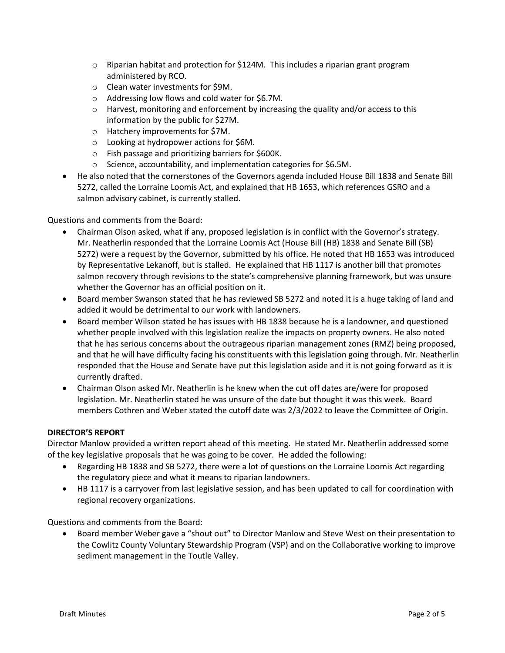- $\circ$  Riparian habitat and protection for \$124M. This includes a riparian grant program administered by RCO.
- o Clean water investments for \$9M.
- o Addressing low flows and cold water for \$6.7M.
- $\circ$  Harvest, monitoring and enforcement by increasing the quality and/or access to this information by the public for \$27M.
- o Hatchery improvements for \$7M.
- o Looking at hydropower actions for \$6M.
- o Fish passage and prioritizing barriers for \$600K.
- o Science, accountability, and implementation categories for \$6.5M.
- He also noted that the cornerstones of the Governors agenda included House Bill 1838 and Senate Bill 5272, called the Lorraine Loomis Act, and explained that HB 1653, which references GSRO and a salmon advisory cabinet, is currently stalled.

Questions and comments from the Board:

- Chairman Olson asked, what if any, proposed legislation is in conflict with the Governor's strategy. Mr. Neatherlin responded that the Lorraine Loomis Act (House Bill (HB) 1838 and Senate Bill (SB) 5272) were a request by the Governor, submitted by his office. He noted that HB 1653 was introduced by Representative Lekanoff, but is stalled. He explained that HB 1117 is another bill that promotes salmon recovery through revisions to the state's comprehensive planning framework, but was unsure whether the Governor has an official position on it.
- Board member Swanson stated that he has reviewed SB 5272 and noted it is a huge taking of land and added it would be detrimental to our work with landowners.
- Board member Wilson stated he has issues with HB 1838 because he is a landowner, and questioned whether people involved with this legislation realize the impacts on property owners. He also noted that he has serious concerns about the outrageous riparian management zones (RMZ) being proposed, and that he will have difficulty facing his constituents with this legislation going through. Mr. Neatherlin responded that the House and Senate have put this legislation aside and it is not going forward as it is currently drafted.
- Chairman Olson asked Mr. Neatherlin is he knew when the cut off dates are/were for proposed legislation. Mr. Neatherlin stated he was unsure of the date but thought it was this week. Board members Cothren and Weber stated the cutoff date was 2/3/2022 to leave the Committee of Origin.

# **DIRECTOR'S REPORT**

Director Manlow provided a written report ahead of this meeting. He stated Mr. Neatherlin addressed some of the key legislative proposals that he was going to be cover. He added the following:

- Regarding HB 1838 and SB 5272, there were a lot of questions on the Lorraine Loomis Act regarding the regulatory piece and what it means to riparian landowners.
- HB 1117 is a carryover from last legislative session, and has been updated to call for coordination with regional recovery organizations.

Questions and comments from the Board:

• Board member Weber gave a "shout out" to Director Manlow and Steve West on their presentation to the Cowlitz County Voluntary Stewardship Program (VSP) and on the Collaborative working to improve sediment management in the Toutle Valley.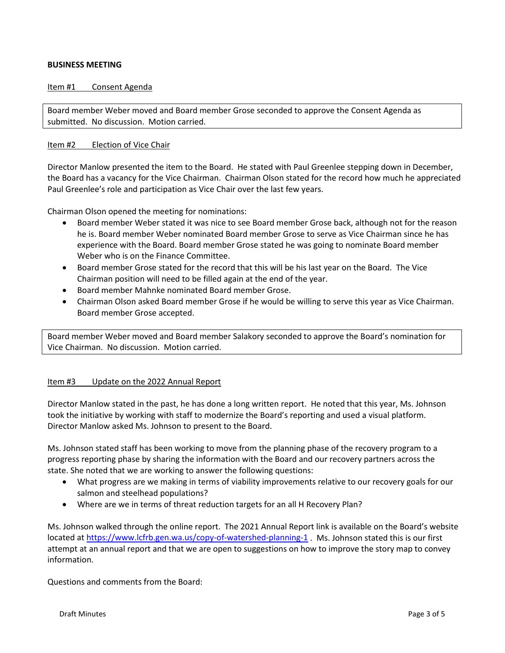## **BUSINESS MEETING**

#### Item #1 Consent Agenda

Board member Weber moved and Board member Grose seconded to approve the Consent Agenda as submitted. No discussion. Motion carried.

### Item #2 Election of Vice Chair

Director Manlow presented the item to the Board. He stated with Paul Greenlee stepping down in December, the Board has a vacancy for the Vice Chairman. Chairman Olson stated for the record how much he appreciated Paul Greenlee's role and participation as Vice Chair over the last few years.

Chairman Olson opened the meeting for nominations:

- Board member Weber stated it was nice to see Board member Grose back, although not for the reason he is. Board member Weber nominated Board member Grose to serve as Vice Chairman since he has experience with the Board. Board member Grose stated he was going to nominate Board member Weber who is on the Finance Committee.
- Board member Grose stated for the record that this will be his last year on the Board. The Vice Chairman position will need to be filled again at the end of the year.
- Board member Mahnke nominated Board member Grose.
- Chairman Olson asked Board member Grose if he would be willing to serve this year as Vice Chairman. Board member Grose accepted.

Board member Weber moved and Board member Salakory seconded to approve the Board's nomination for Vice Chairman. No discussion. Motion carried.

#### Item #3 Update on the 2022 Annual Report

Director Manlow stated in the past, he has done a long written report. He noted that this year, Ms. Johnson took the initiative by working with staff to modernize the Board's reporting and used a visual platform. Director Manlow asked Ms. Johnson to present to the Board.

Ms. Johnson stated staff has been working to move from the planning phase of the recovery program to a progress reporting phase by sharing the information with the Board and our recovery partners across the state. She noted that we are working to answer the following questions:

- What progress are we making in terms of viability improvements relative to our recovery goals for our salmon and steelhead populations?
- Where are we in terms of threat reduction targets for an all H Recovery Plan?

Ms. Johnson walked through the online report. The 2021 Annual Report link is available on the Board's website located a[t https://www.lcfrb.gen.wa.us/copy-of-watershed-planning-1](https://www.lcfrb.gen.wa.us/copy-of-watershed-planning-1) . Ms. Johnson stated this is our first attempt at an annual report and that we are open to suggestions on how to improve the story map to convey information.

Questions and comments from the Board: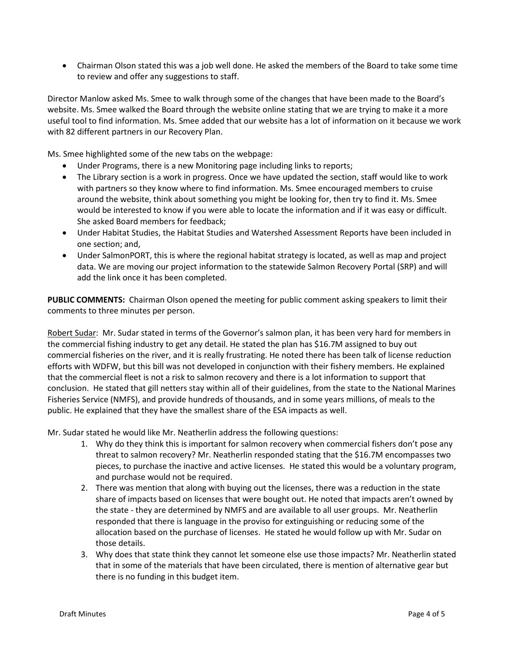• Chairman Olson stated this was a job well done. He asked the members of the Board to take some time to review and offer any suggestions to staff.

Director Manlow asked Ms. Smee to walk through some of the changes that have been made to the Board's website. Ms. Smee walked the Board through the website online stating that we are trying to make it a more useful tool to find information. Ms. Smee added that our website has a lot of information on it because we work with 82 different partners in our Recovery Plan.

Ms. Smee highlighted some of the new tabs on the webpage:

- Under Programs, there is a new Monitoring page including links to reports;
- The Library section is a work in progress. Once we have updated the section, staff would like to work with partners so they know where to find information. Ms. Smee encouraged members to cruise around the website, think about something you might be looking for, then try to find it. Ms. Smee would be interested to know if you were able to locate the information and if it was easy or difficult. She asked Board members for feedback;
- Under Habitat Studies, the Habitat Studies and Watershed Assessment Reports have been included in one section; and,
- Under SalmonPORT, this is where the regional habitat strategy is located, as well as map and project data. We are moving our project information to the statewide Salmon Recovery Portal (SRP) and will add the link once it has been completed.

**PUBLIC COMMENTS:** Chairman Olson opened the meeting for public comment asking speakers to limit their comments to three minutes per person.

Robert Sudar: Mr. Sudar stated in terms of the Governor's salmon plan, it has been very hard for members in the commercial fishing industry to get any detail. He stated the plan has \$16.7M assigned to buy out commercial fisheries on the river, and it is really frustrating. He noted there has been talk of license reduction efforts with WDFW, but this bill was not developed in conjunction with their fishery members. He explained that the commercial fleet is not a risk to salmon recovery and there is a lot information to support that conclusion. He stated that gill netters stay within all of their guidelines, from the state to the National Marines Fisheries Service (NMFS), and provide hundreds of thousands, and in some years millions, of meals to the public. He explained that they have the smallest share of the ESA impacts as well.

Mr. Sudar stated he would like Mr. Neatherlin address the following questions:

- 1. Why do they think this is important for salmon recovery when commercial fishers don't pose any threat to salmon recovery? Mr. Neatherlin responded stating that the \$16.7M encompasses two pieces, to purchase the inactive and active licenses. He stated this would be a voluntary program, and purchase would not be required.
- 2. There was mention that along with buying out the licenses, there was a reduction in the state share of impacts based on licenses that were bought out. He noted that impacts aren't owned by the state - they are determined by NMFS and are available to all user groups. Mr. Neatherlin responded that there is language in the proviso for extinguishing or reducing some of the allocation based on the purchase of licenses. He stated he would follow up with Mr. Sudar on those details.
- 3. Why does that state think they cannot let someone else use those impacts? Mr. Neatherlin stated that in some of the materials that have been circulated, there is mention of alternative gear but there is no funding in this budget item.